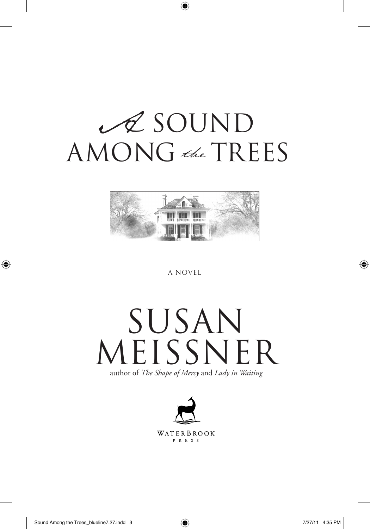## $\mathscr A$  SOUND AMONG the TREES



A Novel

## Susan MEISSNER author of *The Shape of Mercy* and *Lady in Waiting*

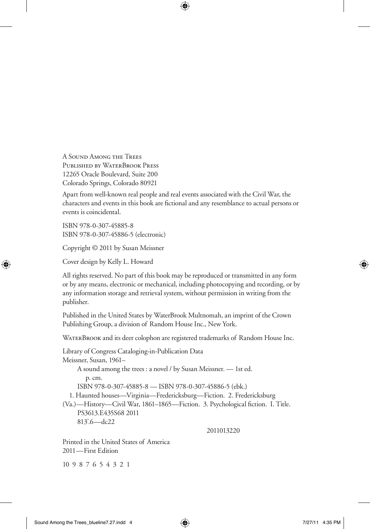A Sound Among the Trees Published by WaterBrook Press 12265 Oracle Boulevard, Suite 200 Colorado Springs, Colorado 80921

Apart from well-known real people and real events associated with the Civil War, the characters and events in this book are fictional and any resemblance to actual persons or events is coincidental.

ISBN 978-0-307-45885-8 ISBN 978-0-307-45886-5 (electronic)

Copyright © 2011 by Susan Meissner

Cover design by Kelly L. Howard

All rights reserved. No part of this book may be reproduced or transmitted in any form or by any means, electronic or mechanical, including photocopying and recording, or by any information storage and retrieval system, without permission in writing from the publisher.

Published in the United States by WaterBrook Multnomah, an imprint of the Crown Publishing Group, a division of Random House Inc., New York.

WATERBROOK and its deer colophon are registered trademarks of Random House Inc.

Library of Congress Cataloging-in-Publication Data Meissner, Susan, 1961– A sound among the trees : a novel / by Susan Meissner. — 1st ed. p. cm. ISBN 978-0-307-45885-8 — ISBN 978-0-307-45886-5 (ebk.) 1. Haunted houses—Virginia—Fredericksburg—Fiction. 2. Fredericksburg (Va.)—History—Civil War, 1861–1865—Fiction. 3. Psychological fiction. I. Title. PS3613.E435S68 2011 813'.6—dc22 2011013220

Printed in the United States of America 2011—First Edition

10 9 8 7 6 5 4 3 2 1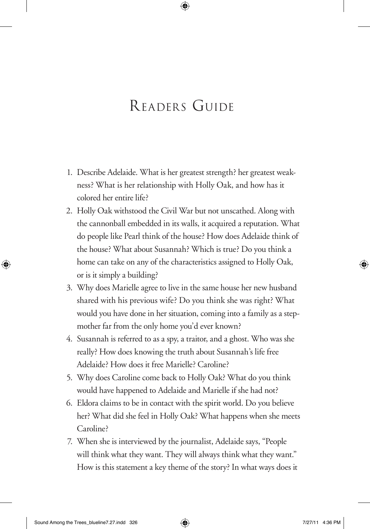## Readers Guide

- 1. Describe Adelaide. What is her greatest strength? her greatest weakness? What is her relationship with Holly Oak, and how has it colored her entire life?
- 2. Holly Oak withstood the Civil War but not unscathed. Along with the cannonball embedded in its walls, it acquired a reputation. What do people like Pearl think of the house? How does Adelaide think of the house? What about Susannah? Which is true? Do you think a home can take on any of the characteristics assigned to Holly Oak, or is it simply a building?
- 3. Why does Marielle agree to live in the same house her new husband shared with his previous wife? Do you think she was right? What would you have done in her situation, coming into a family as a stepmother far from the only home you'd ever known?
- 4. Susannah is referred to as a spy, a traitor, and a ghost. Who was she really? How does knowing the truth about Susannah's life free Adelaide? How does it free Marielle? Caroline?
- 5. Why does Caroline come back to Holly Oak? What do you think would have happened to Adelaide and Marielle if she had not?
- 6. Eldora claims to be in contact with the spirit world. Do you believe her? What did she feel in Holly Oak? What happens when she meets Caroline?
- 7. When she is interviewed by the journalist, Adelaide says, "People will think what they want. They will always think what they want." How is this statement a key theme of the story? In what ways does it